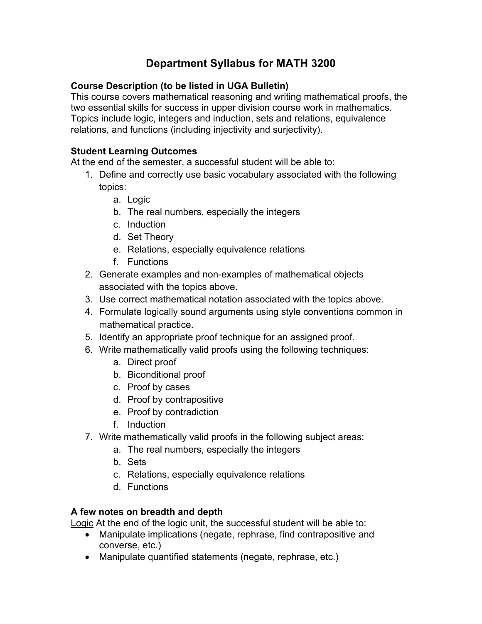# **Department Syllabus for MATH 3200**

### **Course Description (to be listed in UGA Bulletin)**

This course covers mathematical reasoning and writing mathematical proofs, the two essential skills for success in upper division course work in mathematics. Topics include logic, integers and induction, sets and relations, equivalence relations, and functions (including injectivity and surjectivity).

#### **Student Learning Outcomes**

At the end of the semester, a successful student will be able to:

- 1. Define and correctly use basic vocabulary associated with the following topics:
	- a. Logic
	- b. The real numbers, especially the integers
	- c. Induction
	- d. Set Theory
	- e. Relations, especially equivalence relations
	- f. Functions
- 2. Generate examples and non-examples of mathematical objects associated with the topics above.
- 3. Use correct mathematical notation associated with the topics above.
- 4. Formulate logically sound arguments using style conventions common in mathematical practice.
- 5. Identify an appropriate proof technique for an assigned proof.
- 6. Write mathematically valid proofs using the following techniques:
	- a. Direct proof
	- b. Biconditional proof
	- c. Proof by cases
	- d. Proof by contrapositive
	- e. Proof by contradiction
	- f. Induction
- 7. Write mathematically valid proofs in the following subject areas:
	- a. The real numbers, especially the integers
	- b. Sets
	- c. Relations, especially equivalence relations
	- d. Functions

#### **A few notes on breadth and depth**

Logic At the end of the logic unit, the successful student will be able to:

- Manipulate implications (negate, rephrase, find contrapositive and converse, etc.)
- Manipulate quantified statements (negate, rephrase, etc.)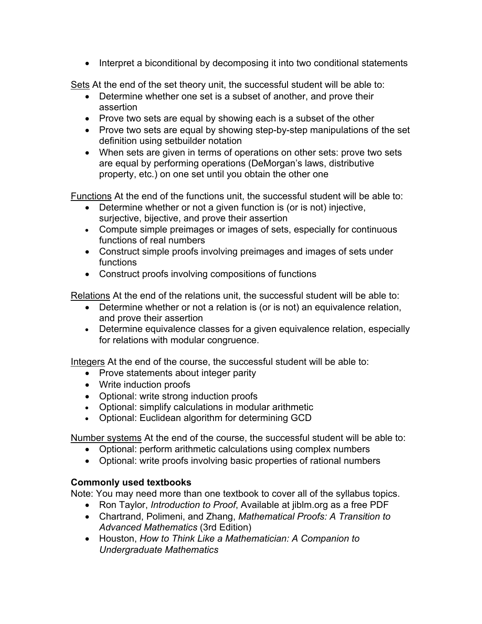• Interpret a biconditional by decomposing it into two conditional statements

Sets At the end of the set theory unit, the successful student will be able to:

- Determine whether one set is a subset of another, and prove their assertion
- Prove two sets are equal by showing each is a subset of the other
- Prove two sets are equal by showing step-by-step manipulations of the set definition using setbuilder notation
- When sets are given in terms of operations on other sets: prove two sets are equal by performing operations (DeMorgan's laws, distributive property, etc.) on one set until you obtain the other one

Functions At the end of the functions unit, the successful student will be able to:

- Determine whether or not a given function is (or is not) injective, surjective, bijective, and prove their assertion
- Compute simple preimages or images of sets, especially for continuous functions of real numbers
- Construct simple proofs involving preimages and images of sets under functions
- Construct proofs involving compositions of functions

Relations At the end of the relations unit, the successful student will be able to:

- Determine whether or not a relation is (or is not) an equivalence relation, and prove their assertion
- Determine equivalence classes for a given equivalence relation, especially for relations with modular congruence.

Integers At the end of the course, the successful student will be able to:

- Prove statements about integer parity
- Write induction proofs
- Optional: write strong induction proofs
- Optional: simplify calculations in modular arithmetic
- Optional: Euclidean algorithm for determining GCD

Number systems At the end of the course, the successful student will be able to:

- Optional: perform arithmetic calculations using complex numbers
- Optional: write proofs involving basic properties of rational numbers

#### **Commonly used textbooks**

Note: You may need more than one textbook to cover all of the syllabus topics.

- Ron Taylor, *Introduction to Proof*, Available at jiblm.org as a free PDF
- Chartrand, Polimeni, and Zhang, *Mathematical Proofs: A Transition to Advanced Mathematics* (3rd Edition)
- Houston, *How to Think Like a Mathematician: A Companion to Undergraduate Mathematics*